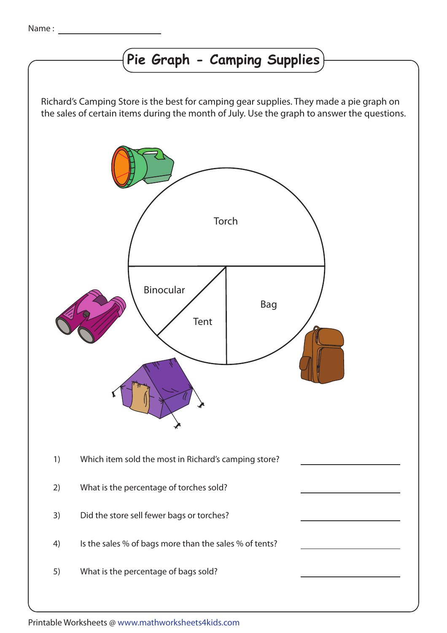## **Pie Graph - Camping Supplies**

Richard's Camping Store is the best for camping gear supplies. They made a pie graph on the sales of certain items during the month of July. Use the graph to answer the questions.



Printable Worksheets @ www.mathworksheets4kids.com